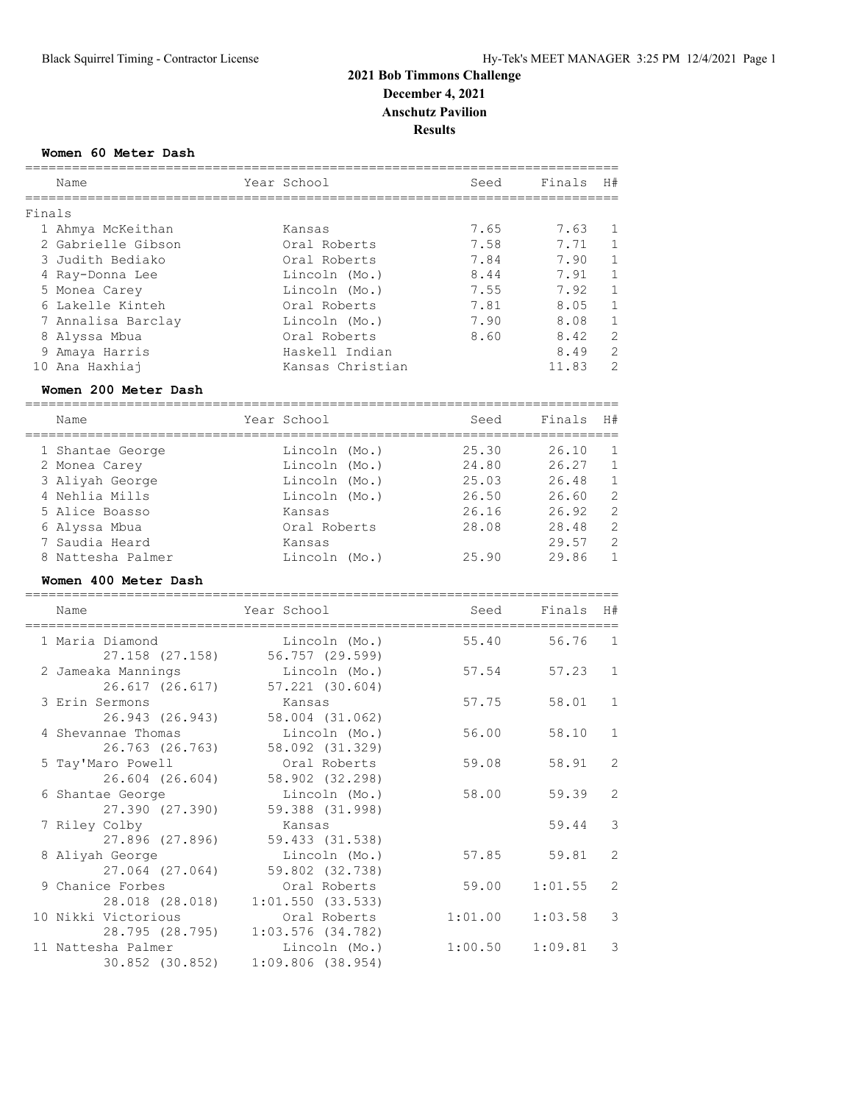#### **Women 60 Meter Dash**

|        | Name               | Year School      | Seed | Finals | H#            |
|--------|--------------------|------------------|------|--------|---------------|
| Finals |                    |                  |      |        |               |
|        | 1 Ahmya McKeithan  | Kansas           | 7.65 | 7.63   | 1             |
|        | 2 Gabrielle Gibson | Oral Roberts     | 7.58 | 7.71   | $\mathbf{1}$  |
|        | 3 Judith Bediako   | Oral Roberts     | 7.84 | 7.90   | $\mathbf{1}$  |
|        | 4 Ray-Donna Lee    | Lincoln (Mo.)    | 8.44 | 7.91   | $\mathbf{1}$  |
|        | 5 Monea Carey      | Lincoln (Mo.)    | 7.55 | 7.92   | $\mathbf{1}$  |
|        | 6 Lakelle Kinteh   | Oral Roberts     | 7.81 | 8.05   | $\mathbf{1}$  |
|        | 7 Annalisa Barclay | Lincoln (Mo.)    | 7.90 | 8.08   | $\mathbf{1}$  |
|        | 8 Alyssa Mbua      | Oral Roberts     | 8.60 | 8.42   | 2             |
|        | 9 Amaya Harris     | Haskell Indian   |      | 8.49   | 2             |
|        | 10 Ana Haxhiai     | Kansas Christian |      | 11.83  | $\mathcal{L}$ |
|        |                    |                  |      |        |               |

#### **Women 200 Meter Dash**

============================================================================

| Name              | Year School   |  | Seed  | Finals | H#             |
|-------------------|---------------|--|-------|--------|----------------|
| 1 Shantae George  | Lincoln (Mo.) |  | 25.30 | 26.10  | $\overline{1}$ |
| 2 Monea Carey     | Lincoln (Mo.) |  | 24.80 | 26.27  | $\overline{1}$ |
| 3 Aliyah George   | Lincoln (Mo.) |  | 25.03 | 26.48  | $\mathbf{1}$   |
| 4 Nehlia Mills    | Lincoln (Mo.) |  | 26.50 | 26.60  | 2              |
| 5 Alice Boasso    | Kansas        |  | 26.16 | 26.92  | -2             |
| 6 Alyssa Mbua     | Oral Roberts  |  | 28.08 | 28.48  | -2             |
| 7 Saudia Heard    | Kansas        |  |       | 29.57  | $\mathcal{P}$  |
| 8 Nattesha Palmer | Lincoln (Mo.) |  | 25.90 | 29.86  | $\mathbf{1}$   |
|                   |               |  |       |        |                |

#### **Women 400 Meter Dash**

| Name                                     | Year School                          | Seed    | Finals  | H#             |
|------------------------------------------|--------------------------------------|---------|---------|----------------|
| 1 Maria Diamond<br>27.158 (27.158)       | Lincoln (Mo.)<br>56.757 (29.599)     | 55.40   | 56.76   | $\overline{1}$ |
| 2 Jameaka Mannings<br>26.617 (26.617)    | Lincoln (Mo.)<br>57.221 (30.604)     | 57.54   | 57.23   | $\mathbf{1}$   |
| 3 Erin Sermons<br>26.943 (26.943)        | Kansas<br>58.004 (31.062)            | 57.75   | 58.01   | $\mathbf{1}$   |
| 4 Shevannae Thomas<br>26.763 (26.763)    | Lincoln (Mo.)<br>58.092 (31.329)     | 56.00   | 58.10   | $\mathbf{1}$   |
| 5 Tay'Maro Powell<br>$26.604$ $(26.604)$ | Oral Roberts<br>58.902 (32.298)      | 59.08   | 58.91   | $\overline{c}$ |
| 6 Shantae George<br>27.390 (27.390)      | Lincoln (Mo.)<br>59.388 (31.998)     | 58.00   | 59.39   | $\overline{c}$ |
| 7 Riley Colby<br>27.896 (27.896)         | Kansas<br>59.433 (31.538)            |         | 59.44   | $\mathcal{S}$  |
| 8 Aliyah George<br>27.064 (27.064)       | Lincoln (Mo.)<br>59.802 (32.738)     | 57.85   | 59.81   | $\overline{2}$ |
| 9 Chanice Forbes<br>28.018 (28.018)      | Oral Roberts<br>1:01.550(33.533)     | 59.00   | 1:01.55 | $\overline{c}$ |
| 10 Nikki Victorious<br>28.795 (28.795)   | Oral Roberts<br>$1:03.576$ (34.782)  | 1:01.00 | 1:03.58 | 3              |
| 11 Nattesha Palmer<br>30.852 (30.852)    | Lincoln (Mo.)<br>$1:09.806$ (38.954) | 1:00.50 | 1:09.81 | $\mathcal{S}$  |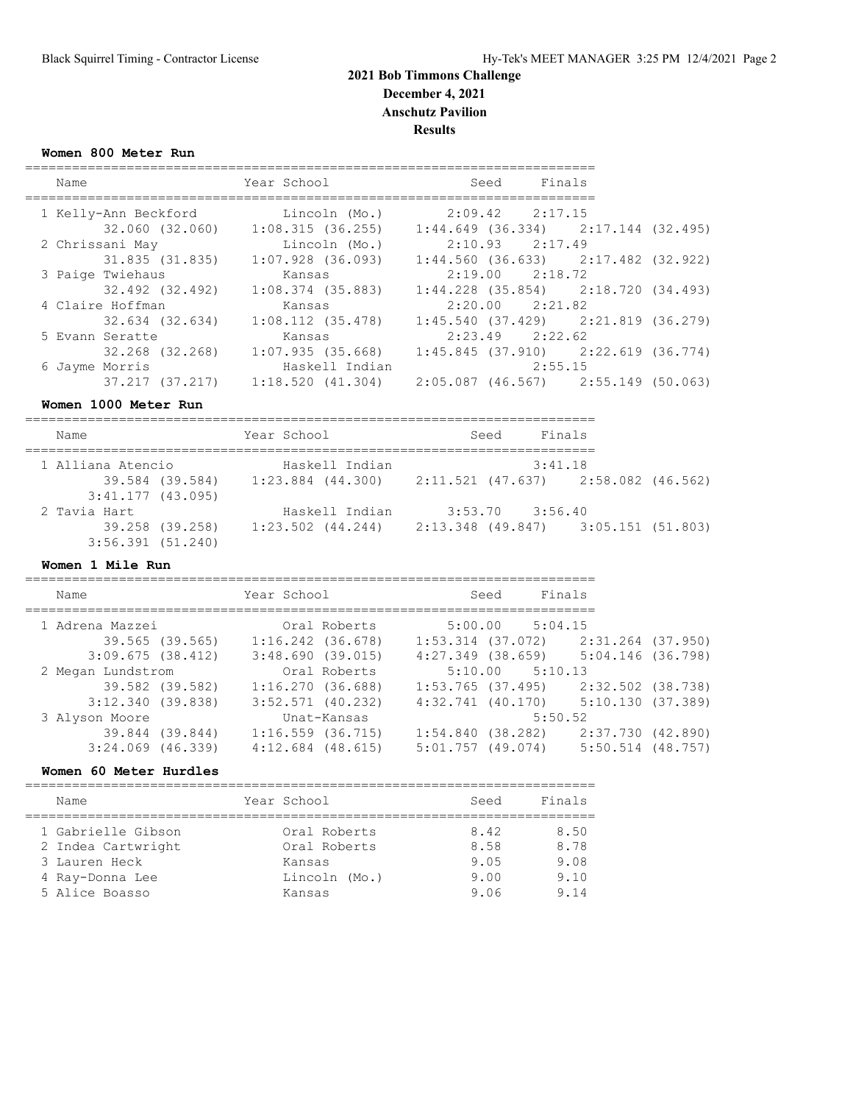**Women 800 Meter Run**

| Name                 | Year School           | Seed | Finals                                  |  |
|----------------------|-----------------------|------|-----------------------------------------|--|
| 1 Kelly-Ann Beckford | Lincoln (Mo.)         |      | $2:09.42$ $2:17.15$                     |  |
| 32.060 (32.060)      | 1:08.315(36.255)      |      | $1:44.649$ (36.334) $2:17.144$ (32.495) |  |
| 2 Chrissani May      | Lincoln (Mo.)         |      | $2:10.93$ $2:17.49$                     |  |
| 31.835 (31.835)      | $1:07.928$ (36.093)   |      | $1:44.560$ (36.633) $2:17.482$ (32.922) |  |
| 3 Paige Twiehaus     | Kansas                |      | $2:19.00$ $2:18.72$                     |  |
| 32.492 (32.492)      | $1:08.374$ (35.883)   |      | $1:44.228$ (35.854) $2:18.720$ (34.493) |  |
| 4 Claire Hoffman     | Kansas                |      | $2:20.00$ $2:21.82$                     |  |
| 32.634 (32.634)      | $1:08.112$ $(35.478)$ |      | $1:45.540$ (37.429) $2:21.819$ (36.279) |  |
| 5 Evann Seratte      | Kansas                |      | $2:23.49$ $2:22.62$                     |  |
| 32.268 (32.268)      | 1:07.935(35.668)      |      | $1:45.845$ (37.910) $2:22.619$ (36.774) |  |
| 6 Jayme Morris       | Haskell Indian        |      | 2:55.15                                 |  |
| 37.217 (37.217)      | 1:18.520(41.304)      |      | $2:05.087$ (46.567) $2:55.149$ (50.063) |  |

**Women 1000 Meter Run**

| Name                                   | Year School       | Finals<br>Seed                                              |  |  |  |
|----------------------------------------|-------------------|-------------------------------------------------------------|--|--|--|
| 1 Alliana Atencio                      | Haskell Indian    | 3:41.18                                                     |  |  |  |
| 39.584 (39.584)<br>$3:41.177$ (43.095) |                   | $1:23.884$ (44.300) $2:11.521$ (47.637) $2:58.082$ (46.562) |  |  |  |
| 2 Tavia Hart                           | Haskell Indian    | $3:53.70$ $3:56.40$                                         |  |  |  |
| 39.258 (39.258)                        | 1:23.502 (44.244) | 2:13.348 (49.847) 3:05.151 (51.803)                         |  |  |  |
| 3:56.391(51.240)                       |                   |                                                             |  |  |  |

#### **Women 1 Mile Run**

| Name                  |                 | Year School           |              |                  | Seed             | Finals              |                                         |  |
|-----------------------|-----------------|-----------------------|--------------|------------------|------------------|---------------------|-----------------------------------------|--|
| 1 Adrena Mazzei       |                 |                       | Oral Roberts |                  |                  | $5:00.00$ $5:04.15$ |                                         |  |
|                       | 39.565 (39.565) | $1:16.242$ $(36.678)$ |              |                  |                  |                     | $1:53.314$ (37.072) $2:31.264$ (37.950) |  |
| 3:09.675(38.412)      |                 | 3:48.690(39.015)      |              |                  |                  |                     | $4:27.349$ (38.659) $5:04.146$ (36.798) |  |
| 2 Megan Lundstrom     |                 |                       | Oral Roberts |                  |                  | $5:10.00$ $5:10.13$ |                                         |  |
|                       | 39.582 (39.582) | 1:16.270(36.688)      |              |                  |                  |                     | $1:53.765$ (37.495) $2:32.502$ (38.738) |  |
| 3:12.340(39.838)      |                 | $3:52.571$ (40.232)   |              |                  |                  |                     | 4:32.741 (40.170) 5:10.130 (37.389)     |  |
| 3 Alyson Moore        |                 |                       | Unat-Kansas  |                  |                  | 5:50.52             |                                         |  |
|                       | 39.844 (39.844) | $1:16.559$ (36.715)   |              | 1:54.840(38.282) |                  |                     | 2:37.730 (42.890)                       |  |
| $3:24.069$ $(46.339)$ |                 | $4:12.684$ (48.615)   |              |                  | 5:01.757(49.074) |                     | 5:50.514 (48.757)                       |  |
|                       |                 |                       |              |                  |                  |                     |                                         |  |

**Women 60 Meter Hurdles**

| Year School<br>Seed<br>Name<br>1 Gabrielle Gibson<br>8.42<br>Oral Roberts                                       |                    |              |      |                                      |
|-----------------------------------------------------------------------------------------------------------------|--------------------|--------------|------|--------------------------------------|
|                                                                                                                 |                    |              |      | Finals                               |
| 3 Lauren Heck<br>9.05<br>Kansas<br>9.00<br>Lincoln (Mo.)<br>4 Ray-Donna Lee<br>5 Alice Boasso<br>9.06<br>Kansas | 2 Indea Cartwright | Oral Roberts | 8.58 | 8.50<br>8.78<br>9.08<br>9.10<br>9.14 |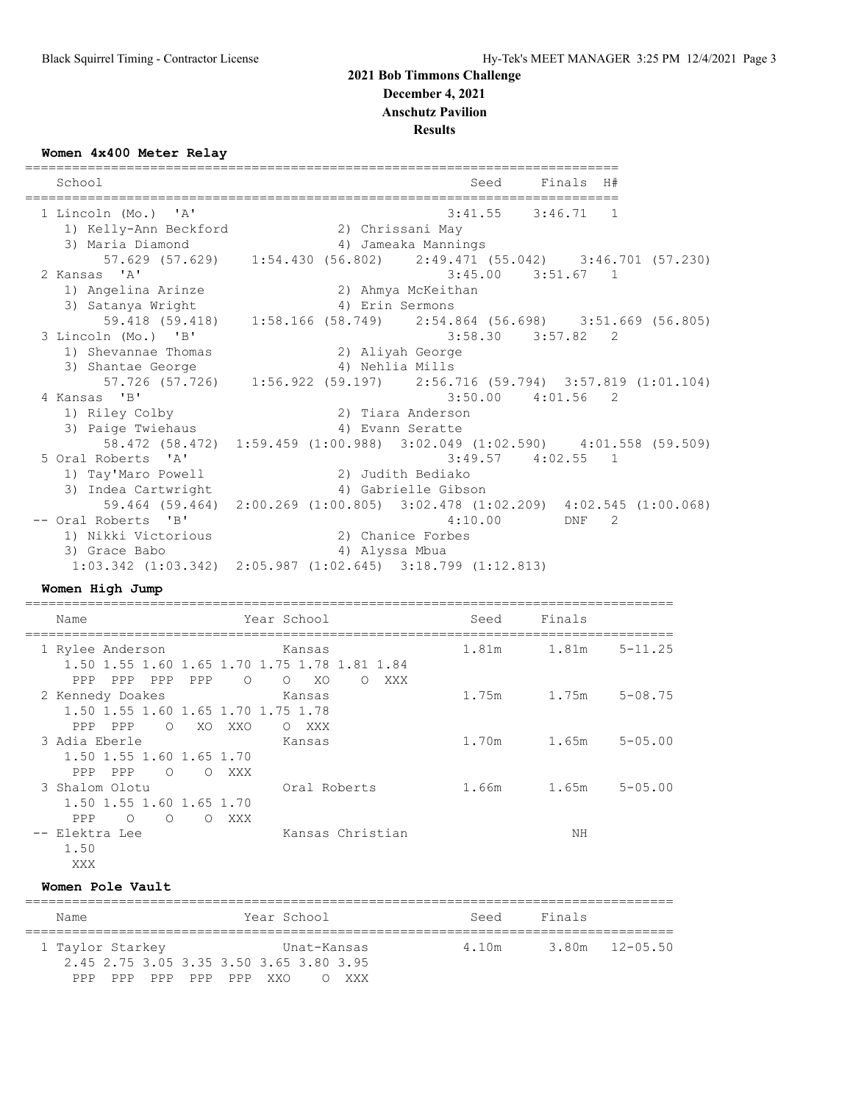#### **Women 4x400 Meter Relay**

============================================================================ School School Seed Finals H# ============================================================================ 1 Lincoln (Mo.) 'A' 3:41.55 3:46.71 1 1) Kelly-Ann Beckford 2) Chrissani May 3) Maria Diamond 4) Jameaka Mannings 57.629 (57.629) 1:54.430 (56.802) 2:49.471 (55.042) 3:46.701 (57.230) 2 Kansas 'A' 3:45.00 3:51.67 1 1) Angelina Arinze 2) Ahmya McKeithan 3) Satanya Wright (4) Erin Sermons 59.418 (59.418) 1:58.166 (58.749) 2:54.864 (56.698) 3:51.669 (56.805) 3 Lincoln (Mo.) 'B' 3:58.30 3:57.82 2 1) Shevannae Thomas 2) Aliyah George 3) Shantae George 4) Nehlia Mills 57.726 (57.726) 1:56.922 (59.197) 2:56.716 (59.794) 3:57.819 (1:01.104) 4 Kansas 'B' 3:50.00 4:01.56 2 1) Riley Colby 2) Tiara Anderson 3) Paige Twiehaus 1988 - March 1989 Brann Seratte 58.472 (58.472) 1:59.459 (1:00.988) 3:02.049 (1:02.590) 4:01.558 (59.509) 5 Oral Roberts 'A' 3:49.57 4:02.55 1 1) Tay'Maro Powell 2) Judith Bediako 3) Indea Cartwright 4) Gabrielle Gibson 59.464 (59.464) 2:00.269 (1:00.805) 3:02.478 (1:02.209) 4:02.545 (1:00.068) -- Oral Roberts 'B' 4:10.00 DNF 2 1) Nikki Victorious 2) Chanice Forbes 3) Grace Babo 4) Alyssa Mbua 1:03.342 (1:03.342) 2:05.987 (1:02.645) 3:18.799 (1:12.813)

#### **Women High Jump**

| Name                                                             | Year School                                                                                                  | Seed  | Finals |                |
|------------------------------------------------------------------|--------------------------------------------------------------------------------------------------------------|-------|--------|----------------|
| 1 Rylee Anderson<br>PPP<br>PPP<br>PPP                            | Kansas<br>1.50 1.55 1.60 1.65 1.70 1.75 1.78 1.81 1.84<br>PPP<br>$\circ$<br>XO<br>$\Omega$<br>XXX<br>$\circ$ | 1.81m | 1.81m  | 5-11.25        |
| 2 Kennedy Doakes<br>PPP PPP                                      | Kansas<br>1.50 1.55 1.60 1.65 1.70 1.75 1.78<br>O XO<br>XXO<br>XXX<br>$\circ$                                | 1.75m | 1.75m  | $5 - 08.75$    |
| 3 Adia Eberle<br>1.50 1.55 1.60 1.65 1.70                        | Kansas                                                                                                       | 1.70m | 1.65m  | $5 - 05.00$    |
| PPP PPP<br>$\circ$<br>3 Shalom Olotu<br>1.50 1.55 1.60 1.65 1.70 | O XXX<br>Oral Roberts                                                                                        | 1.66m | 1.65m  | $5 - 0.5$ , 00 |
| PPP<br>$\Omega$<br>$\bigcirc$<br>-- Elektra Lee<br>1.50<br>XXX   | XXX<br>$\bigcap$<br>Kansas Christian                                                                         |       | ΝH     |                |

#### **Women Pole Vault**

| Name             |                     | Year School                             | Seed  | Finals |                |  |  |  |  |
|------------------|---------------------|-----------------------------------------|-------|--------|----------------|--|--|--|--|
| 1 Taylor Starkey |                     | Unat-Kansas                             | 4.10m |        | 3.80m 12-05.50 |  |  |  |  |
|                  |                     | 2.45 2.75 3.05 3.35 3.50 3.65 3.80 3.95 |       |        |                |  |  |  |  |
| PPP              | PPP PPP PPP PPP XXO | O XXX                                   |       |        |                |  |  |  |  |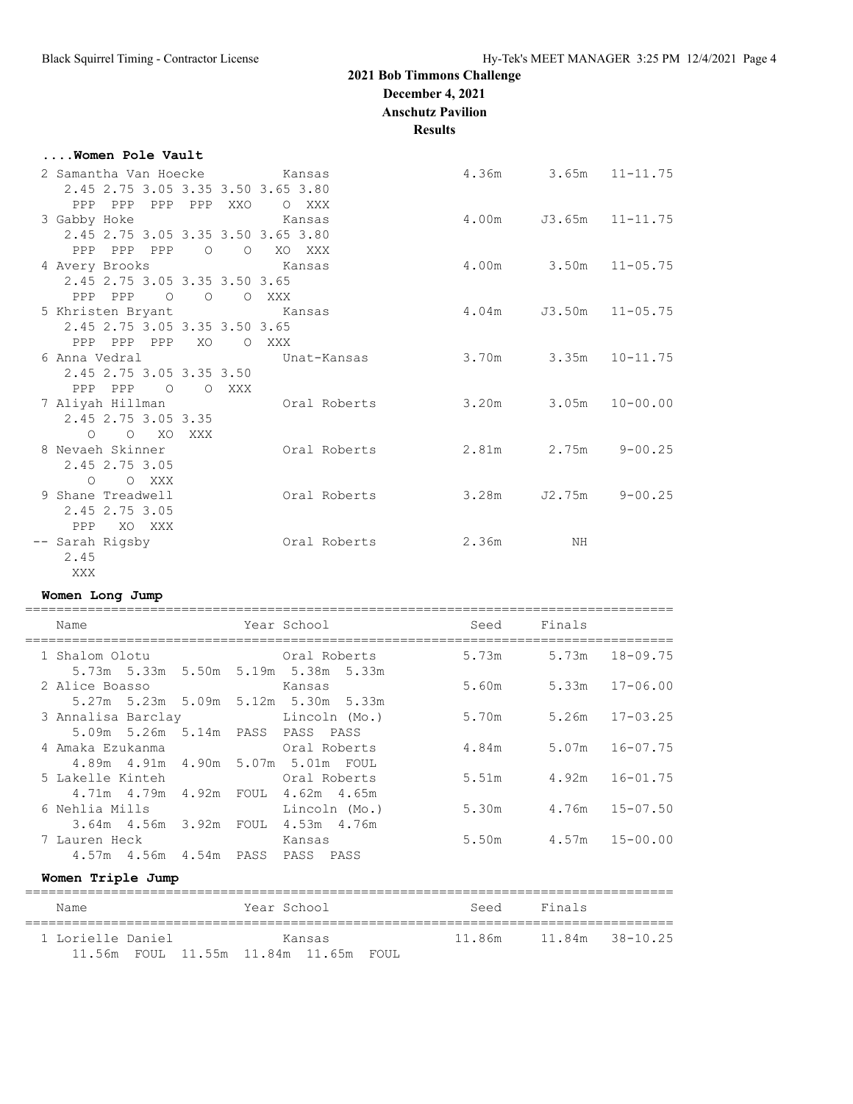**....Women Pole Vault**

# **2021 Bob Timmons Challenge**

**December 4, 2021**

**Anschutz Pavilion**

**Results**

| 2 Samantha Van Hoecke Kansas       |                           |                 | 4.36m |                             | $3.65m$ $11-11.75$  |
|------------------------------------|---------------------------|-----------------|-------|-----------------------------|---------------------|
| 2.45 2.75 3.05 3.35 3.50 3.65 3.80 |                           |                 |       |                             |                     |
| PPP PPP<br>3 Gabby Hoke            | PPP PPP XXO               | O XXX<br>Kansas |       | $4.00m$ $J3.65m$ $11-11.75$ |                     |
| 2.45 2.75 3.05 3.35 3.50 3.65 3.80 |                           |                 |       |                             |                     |
| PPP PPP PPP                        | $\overline{O}$<br>$\circ$ | XO XXX          |       |                             |                     |
| 4 Avery Brooks                     |                           | in a Kansas     |       | 4.00m 3.50m 11-05.75        |                     |
| 2.45 2.75 3.05 3.35 3.50 3.65      |                           |                 |       |                             |                     |
| PPP PPP                            | O O O XXX                 |                 |       |                             |                     |
| 5 Khristen Bryant Kansas           |                           |                 | 4.04m |                             | $J3.50m$ $11-05.75$ |
| 2.45 2.75 3.05 3.35 3.50 3.65      |                           |                 |       |                             |                     |
| PPP PPP PPP                        | XO<br>$\circ$             | XXX             |       |                             |                     |
| 6 Anna Vedral                      |                           | Unat-Kansas     |       | $3.70m$ $3.35m$ $10-11.75$  |                     |
| 2.45 2.75 3.05 3.35 3.50           |                           |                 |       |                             |                     |
| PPP PPP<br>$\overline{O}$          | O XXX                     |                 |       |                             |                     |
| 7 Aliyah Hillman                   |                           | Oral Roberts    |       | $3.20m$ $3.05m$ $10-00.00$  |                     |
| 2.45 2.75 3.05 3.35                |                           |                 |       |                             |                     |
| $O$ $O$ $XO$<br>8 Nevaeh Skinner   | XXX                       | Oral Roberts    |       | 2.81m 2.75m                 | $9 - 00.25$         |
| 2.45 2.75 3.05                     |                           |                 |       |                             |                     |
| O O XXX                            |                           |                 |       |                             |                     |
| 9 Shane Treadwell                  |                           | Oral Roberts    | 3.28m | J2.75m                      | $9 - 00.25$         |
| 2.45 2.75 3.05                     |                           |                 |       |                             |                     |
| PPP XO XXX                         |                           |                 |       |                             |                     |
| -- Sarah Rigsby                    |                           | Oral Roberts    | 2.36m | NH                          |                     |
| 2.45                               |                           |                 |       |                             |                     |

## **Women Long Jump**

XXX

| Name                                                         | Year School                                                             | Seed                 | Finals                     |                |
|--------------------------------------------------------------|-------------------------------------------------------------------------|----------------------|----------------------------|----------------|
| 1 Shalom Olotu                                               | <b>Example 2018</b> Oral Roberts<br>5.73m 5.33m 5.50m 5.19m 5.38m 5.33m | 5.73m 5.73m 18-09.75 |                            |                |
| 2 Alice Boasso                                               | Kansas<br>5.27m 5.23m 5.09m 5.12m 5.30m 5.33m                           |                      | $5.60m$ $5.33m$ $17-06.00$ |                |
| 3 Annalisa Barclay (Mo.)<br>5.09m 5.26m 5.14m PASS PASS PASS |                                                                         |                      | 5.70m 5.26m 17-03.25       |                |
| 4 Amaka Ezukanma<br>4.89m  4.91m  4.90m  5.07m  5.01m  FOUL  | Oral Roberts                                                            |                      | 4.84m 5.07m 16-07.75       |                |
| 5 Lakelle Kinteh<br>4,71m  4,79m  4,92m  FOUL  4,62m  4,65m  | Oral Roberts                                                            | 5.51m                |                            | 4.92m 16-01.75 |
| 6 Nehlia Mills<br>3.64m  4.56m  3.92m  FOUL  4.53m  4.76m    | Lincoln (Mo.)                                                           |                      | 5.30m 4.76m 15-07.50       |                |
| 7 Lauren Heck<br>4.57m  4.56m  4.54m  PASS  PASS  PASS       | Kansas                                                                  |                      | 5.50m 4.57m 15-00.00       |                |
|                                                              |                                                                         |                      |                            |                |

## **Women Triple Jump**

| Name              |  | Year School                           |        | Seed   | Finals |                 |
|-------------------|--|---------------------------------------|--------|--------|--------|-----------------|
| 1 Lorielle Daniel |  |                                       | Kansas | 11.86m |        | 11.84m 38-10.25 |
|                   |  | 11.56m FOUL 11.55m 11.84m 11.65m FOUL |        |        |        |                 |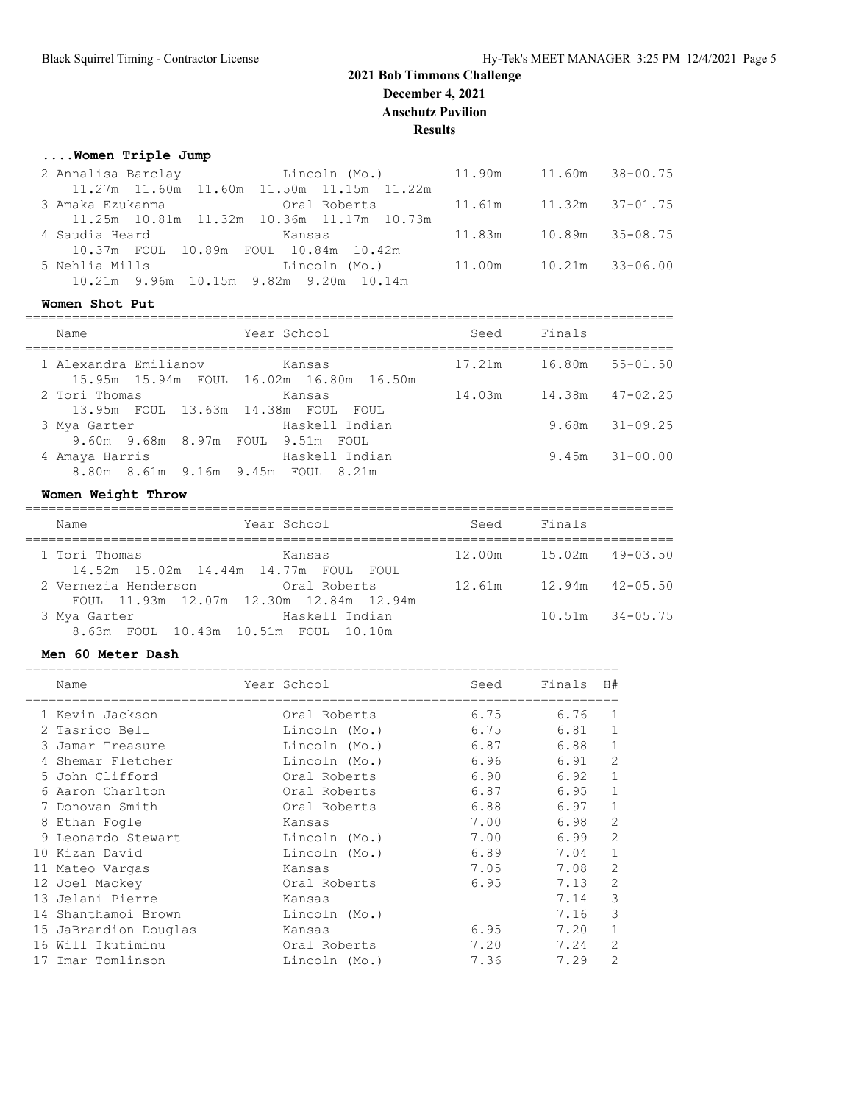## **....Women Triple Jump**

|                                                 | 2 Annalisa Barclay           Lincoln (Mo.)         11.90m     11.60m   38-00.75    |  |  |
|-------------------------------------------------|------------------------------------------------------------------------------------|--|--|
|                                                 | 11.27m 11.60m 11.60m 11.50m 11.15m 11.22m                                          |  |  |
|                                                 | 3 Amaka Ezukanma                 Oral Roberts         11.61m     11.32m   37-01.75 |  |  |
|                                                 | 11.25m 10.81m 11.32m 10.36m 11.17m 10.73m                                          |  |  |
| 4 Saudia Heard<br>in a bhliain an Bhaile Ransas |                                                                                    |  |  |
| 10.37m FOUL 10.89m FOUL 10.84m 10.42m           |                                                                                    |  |  |
| 5 Nehlia Mills                                  | Lincoln (Mo.)         11.00m         10.21m     33-06.00                           |  |  |
| 10.21m 9.96m 10.15m 9.82m 9.20m 10.14m          |                                                                                    |  |  |
|                                                 |                                                                                    |  |  |

#### **Women Shot Put**

| Name                                                 | Year School                                       | Seed   | Finals |                     |
|------------------------------------------------------|---------------------------------------------------|--------|--------|---------------------|
| 1 Alexandra Emilianov                                | kansas<br>15.95m 15.94m FOUL 16.02m 16.80m 16.50m | 17.21m |        | 16.80m 55-01.50     |
| 2 Tori Thomas<br>13.95m FOUL 13.63m 14.38m FOUL FOUL | Kansas                                            | 14.03m |        | $14.38m$ $47-02.25$ |
| 3 Mya Garter<br>9.60m 9.68m 8.97m FOUL 9.51m FOUL    | Haskell Indian                                    |        |        | $9.68m$ $31-09.25$  |
| 4 Amaya Harris<br>8.80m 8.61m 9.16m 9.45m FOUL 8.21m | Haskell Indian                                    |        |        | $9.45m$ $31-00.00$  |

## **Women Weight Throw**

| Name          | Year School                                                                | Seed   | Finals |                     |
|---------------|----------------------------------------------------------------------------|--------|--------|---------------------|
| 1 Tori Thomas | Kansas                                                                     | 12.00m |        | $15.02m$ $49-03.50$ |
|               | 14.52m 15.02m 14.44m 14.77m FOUL FOUL<br>2 Vernezia Henderson Cral Roberts | 12.61m |        | $12.94m$ $42-05.50$ |
|               | FOUL 11.93m 12.07m 12.30m 12.84m 12.94m                                    |        |        |                     |
| 3 Mya Garter  | Haskell Indian                                                             |        |        | $10.51m$ $34-05.75$ |
|               | 8.63m FOUL 10.43m 10.51m FOUL 10.10m                                       |        |        |                     |

#### **Men 60 Meter Dash**

|    | Name                  | Year School   | Seed | Finals | H#             |
|----|-----------------------|---------------|------|--------|----------------|
|    | 1 Kevin Jackson       | Oral Roberts  | 6.75 | 6.76   | 1              |
|    | 2 Tasrico Bell        | Lincoln (Mo.) | 6.75 | 6.81   | 1              |
|    | 3 Jamar Treasure      | Lincoln (Mo.) | 6.87 | 6.88   | 1              |
|    | 4 Shemar Fletcher     | Lincoln (Mo.) | 6.96 | 6.91   | $\overline{2}$ |
|    | 5 John Clifford       | Oral Roberts  | 6.90 | 6.92   |                |
| 6  | Aaron Charlton        | Oral Roberts  | 6.87 | 6.95   | 1              |
|    | Donovan Smith         | Oral Roberts  | 6.88 | 6.97   |                |
|    | 8 Ethan Fogle         | Kansas        | 7.00 | 6.98   | $\overline{2}$ |
|    | Leonardo Stewart      | Lincoln (Mo.) | 7.00 | 6.99   | 2              |
|    | 10 Kizan David        | Lincoln (Mo.) | 6.89 | 7.04   | $\mathbf{1}$   |
|    | 11 Mateo Vargas       | Kansas        | 7.05 | 7.08   | 2              |
|    | 12 Joel Mackey        | Oral Roberts  | 6.95 | 7.13   | $\overline{2}$ |
|    | 13 Jelani Pierre      | Kansas        |      | 7.14   | 3              |
|    | 14 Shanthamoi Brown   | Lincoln (Mo.) |      | 7.16   | 3              |
|    | 15 JaBrandion Douglas | Kansas        | 6.95 | 7.20   | 1              |
| 16 | Will Ikutiminu        | Oral Roberts  | 7.20 | 7.24   | 2              |
|    | 17 Imar Tomlinson     | Lincoln (Mo.) | 7.36 | 7.29   | $\overline{2}$ |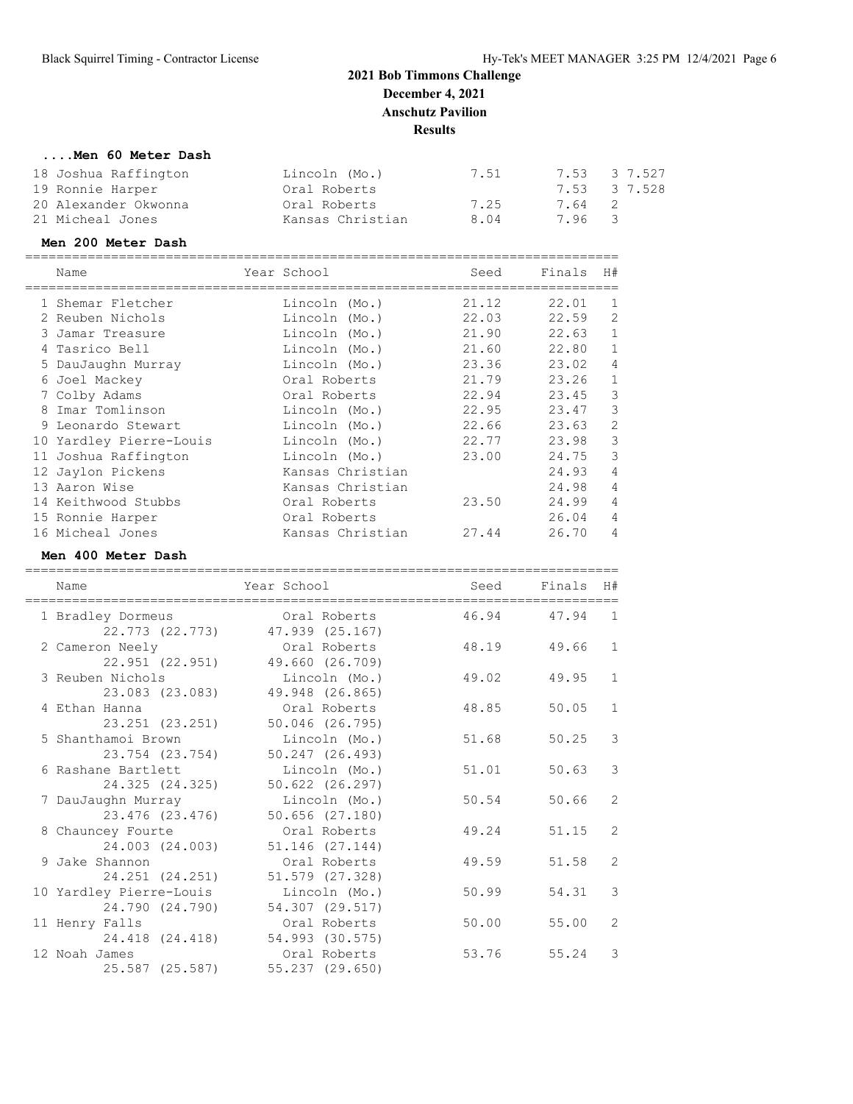## **....Men 60 Meter Dash**

| 18 Joshua Raffington | Lincoln (Mo.)    | 7.51 |        | 7.53 3 7.527 |
|----------------------|------------------|------|--------|--------------|
| 19 Ronnie Harper     | Oral Roberts     |      |        | 7.53 3 7.528 |
| 20 Alexander Okwonna | Oral Roberts     | 7.25 | 7.64 2 |              |
| 21 Micheal Jones     | Kansas Christian | 8.04 | 7.96 3 |              |

## **Men 200 Meter Dash**

| Name                    | Year School      | Seed  | Finals | H#             |
|-------------------------|------------------|-------|--------|----------------|
| 1 Shemar Fletcher       | Lincoln (Mo.)    | 21.12 | 22.01  | $\mathbf{1}$   |
| 2 Reuben Nichols        | Lincoln (Mo.)    | 22.03 | 22.59  | $\overline{2}$ |
| 3 Jamar Treasure        | Lincoln (Mo.)    | 21.90 | 22.63  | $\mathbf{1}$   |
| 4 Tasrico Bell          | Lincoln (Mo.)    | 21.60 | 22.80  | 1              |
| 5 DauJaughn Murray      | Lincoln (Mo.)    | 23.36 | 23.02  | 4              |
| 6 Joel Mackey           | Oral Roberts     | 21.79 | 23.26  | 1              |
| 7 Colby Adams           | Oral Roberts     | 22.94 | 23.45  | 3              |
| 8 Imar Tomlinson        | Lincoln (Mo.)    | 22.95 | 23.47  | 3              |
| 9 Leonardo Stewart      | Lincoln (Mo.)    | 22.66 | 23.63  | $\overline{2}$ |
| 10 Yardley Pierre-Louis | Lincoln (Mo.)    | 22.77 | 23.98  | 3              |
| 11 Joshua Raffington    | Lincoln (Mo.)    | 23.00 | 24.75  | 3              |
| 12 Jaylon Pickens       | Kansas Christian |       | 24.93  | 4              |
| 13 Aaron Wise           | Kansas Christian |       | 24.98  | 4              |
| 14 Keithwood Stubbs     | Oral Roberts     | 23.50 | 24.99  | 4              |
| 15 Ronnie Harper        | Oral Roberts     |       | 26.04  | 4              |
| 16 Micheal Jones        | Kansas Christian | 27.44 | 26.70  | 4              |

#### **Men 400 Meter Dash**

| Name                                       | Year School                          | Seed  | Finals | H#             |
|--------------------------------------------|--------------------------------------|-------|--------|----------------|
| 1 Bradley Dormeus<br>22.773 (22.773)       | Oral Roberts<br>47.939 (25.167)      | 46.94 | 47.94  | $\overline{1}$ |
| 2 Cameron Neely<br>22.951 (22.951)         | Oral Roberts<br>49.660 (26.709)      | 48.19 | 49.66  | $\mathbf{1}$   |
| 3 Reuben Nichols<br>23.083 (23.083)        | Lincoln (Mo.)<br>49.948 (26.865)     | 49.02 | 49.95  | $\mathbf{1}$   |
| 4 Ethan Hanna<br>23.251 (23.251)           | Oral Roberts<br>50.046 (26.795)      | 48.85 | 50.05  | $\mathbf{1}$   |
| 5 Shanthamoi Brown<br>23.754 (23.754)      | Lincoln (Mo.)<br>50.247 (26.493)     | 51.68 | 50.25  | 3              |
| 6 Rashane Bartlett<br>24.325 (24.325)      | Lincoln (Mo.)<br>$50.622$ $(26.297)$ | 51.01 | 50.63  | 3              |
| 7 DauJaughn Murray<br>23.476 (23.476)      | Lincoln (Mo.)<br>$50.656$ $(27.180)$ | 50.54 | 50.66  | 2              |
| 8 Chauncey Fourte<br>24.003 (24.003)       | Oral Roberts<br>51.146 (27.144)      | 49.24 | 51.15  | 2              |
| 9 Jake Shannon<br>24.251 (24.251)          | Oral Roberts<br>51.579 (27.328)      | 49.59 | 51.58  | 2              |
| 10 Yardley Pierre-Louis<br>24,790 (24,790) | Lincoln (Mo.)<br>54.307 (29.517)     | 50.99 | 54.31  | 3              |
| 11 Henry Falls<br>24.418 (24.418)          | Oral Roberts<br>54.993 (30.575)      | 50.00 | 55.00  | $\overline{2}$ |
| 12 Noah James<br>25.587 (25.587)           | Oral Roberts<br>55.237 (29.650)      | 53.76 | 55.24  | 3              |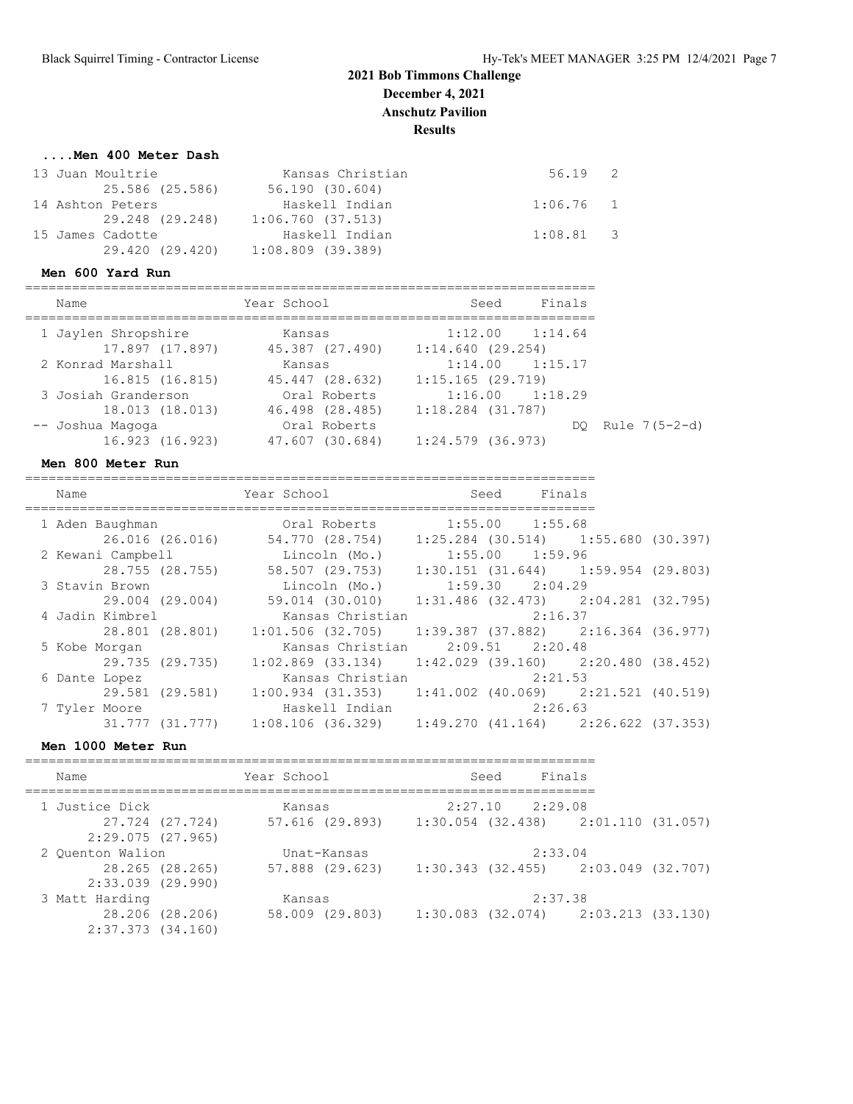#### **....Men 400 Meter Dash**

| 13 Juan Moultrie | Kansas Christian    | 56.19 2     |  |
|------------------|---------------------|-------------|--|
| 25.586 (25.586)  | 56.190 (30.604)     |             |  |
| 14 Ashton Peters | Haskell Indian      | $1:06.76$ 1 |  |
| 29.248 (29.248)  | 1:06.760 (37.513)   |             |  |
| 15 James Cadotte | Haskell Indian      | $1:08.81$ 3 |  |
| 29.420 (29.420)  | $1:08.809$ (39.389) |             |  |

#### **Men 600 Yard Run**

=========================================================================

| Name                | Year School     | Seed                | Finals |                    |
|---------------------|-----------------|---------------------|--------|--------------------|
| 1 Jaylen Shropshire | Kansas          | $1:12.00$ $1:14.64$ |        |                    |
| 17.897 (17.897)     | 45.387 (27.490) | 1:14.640(29.254)    |        |                    |
| 2 Konrad Marshall   | Kansas          | $1:14.00$ $1:15.17$ |        |                    |
| 16.815 (16.815)     | 45.447 (28.632) | 1:15.165(29.719)    |        |                    |
| 3 Josiah Granderson | Oral Roberts    | $1:16.00$ $1:18.29$ |        |                    |
| 18.013 (18.013)     | 46.498 (28.485) | $1:18.284$ (31.787) |        |                    |
| -- Joshua Magoga    | Oral Roberts    |                     |        | DO Rule $7(5-2-d)$ |
| 16.923 (16.923)     | 47.607 (30.684) | $1:24.579$ (36.973) |        |                    |
|                     |                 |                     |        |                    |

#### **Men 800 Meter Run**

=========================================================================

| Name              | Year School                                                                           | Finals<br>Seed                              |  |
|-------------------|---------------------------------------------------------------------------------------|---------------------------------------------|--|
| 1 Aden Baughman   | Oral Roberts                                                                          | $1:55.00$ $1:55.68$                         |  |
| 26.016 (26.016)   | 54.770 (28.754)                                                                       | $1:25.284$ (30.514) $1:55.680$ (30.397)     |  |
| 2 Kewani Campbell | Lincoln (Mo.)                                                                         | $1:55.00$ $1:59.96$                         |  |
| 28.755 (28.755)   | 58.507 (29.753)                                                                       | $1:30.151$ $(31.644)$ $1:59.954$ $(29.803)$ |  |
| 3 Stavin Brown    | Lincoln (Mo.)                                                                         | $1:59.30$ $2:04.29$                         |  |
| 29.004 (29.004)   | 59.014 (30.010)                                                                       | $1:31.486$ (32.473) $2:04.281$ (32.795)     |  |
| 4 Jadin Kimbrel   | Kansas Christian                                                                      | 2:16.37                                     |  |
| 28.801 (28.801)   | $1:01.506$ (32.705)                                                                   | $1:39.387$ (37.882) 2:16.364 (36.977)       |  |
| 5 Kobe Morgan     | Kansas Christian                                                                      | $2:09.51$ $2:20.48$                         |  |
| 29.735 (29.735)   | $1:02.869$ $(33.134)$                                                                 | $1:42.029$ (39.160) $2:20.480$ (38.452)     |  |
| 6 Dante Lopez     | Kansas Christian                                                                      | 2:21.53                                     |  |
| 29.581 (29.581)   | $1:00.934$ (31.353) $1:41.002$ (40.069) $2:21.521$ (40.519)                           |                                             |  |
| 7 Tyler Moore     | Haskell Indian                                                                        | 2:26.63                                     |  |
|                   | $31.777$ $(31.777)$ $1:08.106$ $(36.329)$ $1:49.270$ $(41.164)$ $2:26.622$ $(37.353)$ |                                             |  |

#### **Men 1000 Meter Run**

| Name                                     | Year School |                 | Seed | Finals              |                                         |  |
|------------------------------------------|-------------|-----------------|------|---------------------|-----------------------------------------|--|
| 1 Justice Dick                           | Kansas      |                 |      | $2:27.10$ $2:29.08$ |                                         |  |
| 27.724 (27.724)<br>2:29.075(27.965)      |             | 57.616 (29.893) |      |                     | $1:30.054$ (32.438) $2:01.110$ (31.057) |  |
| 2 Quenton Walion                         |             | Unat-Kansas     |      | 2:33.04             |                                         |  |
| 28.265 (28.265)<br>$2:33.039$ $(29.990)$ |             | 57.888 (29.623) |      |                     | $1:30.343$ (32.455) 2:03.049 (32.707)   |  |
| 3 Matt Harding                           | Kansas      |                 |      | 2:37.38             |                                         |  |
| 28.206 (28.206)<br>$2:37.373$ $(34.160)$ |             | 58.009 (29.803) |      |                     | $1:30.083$ (32.074) $2:03.213$ (33.130) |  |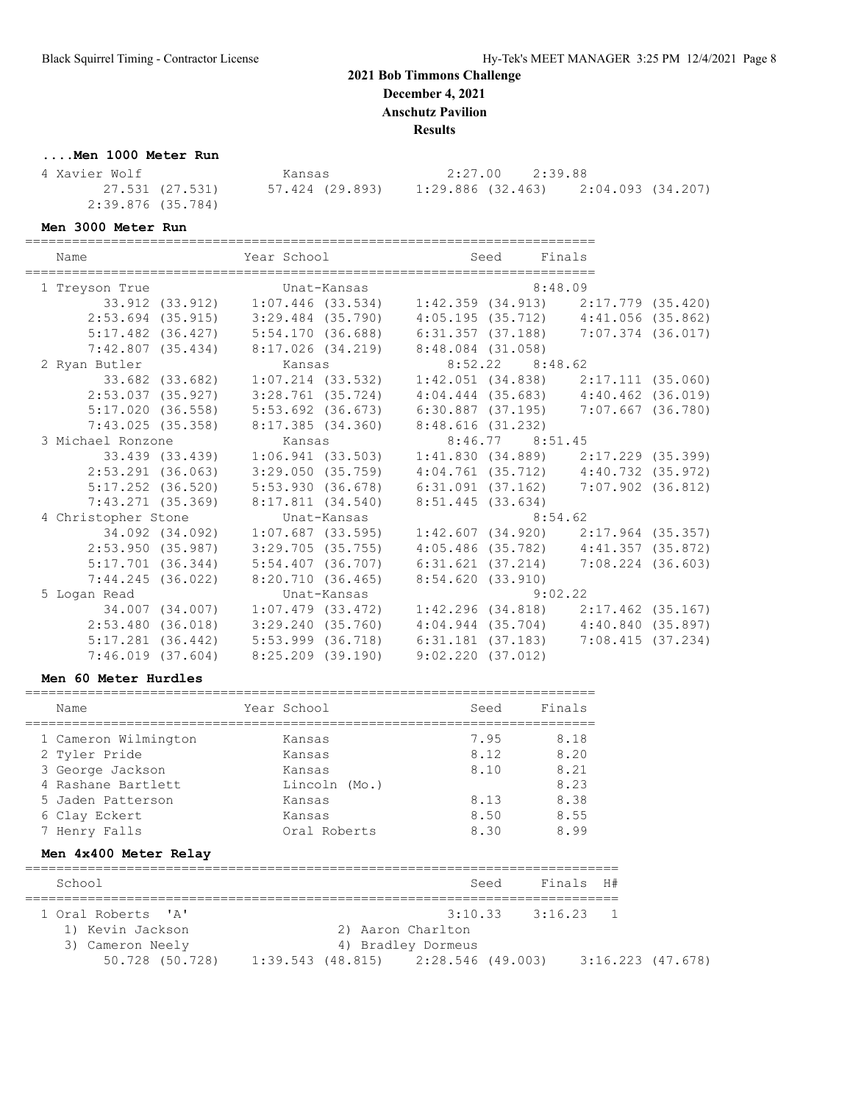**Results**

# **....Men 1000 Meter Run**

| 4 Xavier Wolf     | Kansas          | 2:27.00 2:39.88   |                   |
|-------------------|-----------------|-------------------|-------------------|
| 27.531 (27.531)   | 57.424 (29.893) | 1:29.886 (32.463) | 2:04.093 (34.207) |
| 2:39.876 (35.784) |                 |                   |                   |

**Men 3000 Meter Run**

========================================================================= Seed Final

| Name                  |                   | rear school                             |                     |                     | seea                | rınaıs                                  |                     |
|-----------------------|-------------------|-----------------------------------------|---------------------|---------------------|---------------------|-----------------------------------------|---------------------|
| 1 Treyson True        |                   | Unat-Kansas                             |                     |                     |                     | 8:48.09                                 |                     |
|                       |                   | 33.912 (33.912) 1:07.446 (33.534)       |                     |                     |                     | $1:42.359$ (34.913) $2:17.779$ (35.420) |                     |
| $2:53.694$ (35.915)   |                   | 3:29.484 (35.790)                       |                     |                     |                     | $4:05.195(35.712)$ $4:41.056(35.862)$   |                     |
| $5:17.482$ (36.427)   |                   | 5:54.170(36.688)                        |                     | 6:31.357 (37.188)   |                     | 7:07.374 (36.017)                       |                     |
|                       |                   | $7:42.807$ (35.434) $8:17.026$ (34.219) |                     | 8:48.084 (31.058)   |                     |                                         |                     |
| 2 Ryan Butler         |                   | Kansas                                  |                     |                     | $8:52.22$ $8:48.62$ |                                         |                     |
|                       | 33.682 (33.682)   |                                         | $1:07.214$ (33.532) |                     |                     | $1:42.051$ (34.838) $2:17.111$ (35.060) |                     |
| $2:53.037$ (35.927)   |                   | $3:28.761$ (35.724)                     |                     |                     |                     | $4:04.444$ (35.683) $4:40.462$ (36.019) |                     |
| $5:17.020$ $(36.558)$ |                   | $5:53.692$ $(36.673)$                   |                     | 6:30.887 (37.195)   |                     | 7:07.667 (36.780)                       |                     |
|                       |                   | $7:43.025$ (35.358) 8:17.385 (34.360)   |                     | 8:48.616 (31.232)   |                     |                                         |                     |
| 3 Michael Ronzone     |                   | Kansas                                  |                     |                     | 8:46.77 8:51.45     |                                         |                     |
|                       | 33.439 (33.439)   |                                         | 1:06.941 (33.503)   |                     |                     | $1:41.830$ (34.889) $2:17.229$ (35.399) |                     |
| $2:53.291$ (36.063)   |                   | 3:29.050(35.759)                        |                     |                     |                     | $4:04.761$ (35.712) $4:40.732$ (35.972) |                     |
| $5:17.252$ (36.520)   |                   | 5:53.930(36.678)                        |                     | 6:31.091 (37.162)   |                     | $7:07.902$ (36.812)                     |                     |
| $7:43.271$ $(35.369)$ |                   | 8:17.811 (34.540)                       |                     | $8:51.445$ (33.634) |                     |                                         |                     |
| 4 Christopher Stone   |                   |                                         | Unat-Kansas         |                     |                     | 8:54.62                                 |                     |
|                       | 34.092 (34.092)   |                                         | $1:07.687$ (33.595) |                     |                     | $1:42.607$ (34.920) $2:17.964$ (35.357) |                     |
| 2:53.950(35.987)      |                   | $3:29.705$ (35.755)                     |                     |                     |                     | $4:05.486$ (35.782) $4:41.357$ (35.872) |                     |
| $5:17.701$ (36.344)   |                   | $5:54.407$ (36.707)                     |                     | 6:31.621(37.214)    |                     |                                         | $7:08.224$ (36.603) |
|                       | 7:44.245 (36.022) | 8:20.710(36.465)                        |                     | 8:54.620(33.910)    |                     |                                         |                     |
| 5 Logan Read          |                   |                                         | Unat-Kansas         |                     |                     | 9:02.22                                 |                     |
|                       | 34.007 (34.007)   | 1:07.479 (33.472)                       |                     |                     |                     | $1:42.296$ (34.818) $2:17.462$ (35.167) |                     |
| $2:53.480$ (36.018)   |                   | $3:29.240$ $(35.760)$                   |                     |                     |                     | 4:04.944 (35.704) 4:40.840 (35.897)     |                     |
| $5:17.281$ (36.442)   |                   | $5:53.999$ $(36.718)$                   |                     | 6:31.181 (37.183)   |                     |                                         | 7:08.415(37.234)    |
| $7:46.019$ $(37.604)$ |                   | 8:25.209 (39.190)                       |                     | 9:02.220(37.012)    |                     |                                         |                     |

#### **Men 60 Meter Hurdles**

| Name                           | Year School   | Seed                | Finals |    |
|--------------------------------|---------------|---------------------|--------|----|
| 1 Cameron Wilmington           | Kansas        | 7.95                | 8.18   |    |
| 2 Tyler Pride                  | Kansas        | 8.12                | 8.20   |    |
| 3 George Jackson               | Kansas        | 8.10                | 8.21   |    |
| 4 Rashane Bartlett             | Lincoln (Mo.) |                     | 8.23   |    |
| 5 Jaden Patterson              | Kansas        | 8.13                | 8.38   |    |
| 6 Clay Eckert                  | Kansas        | 8.50                | 8.55   |    |
| 7 Henry Falls                  | Oral Roberts  | 8.30                | 8.99   |    |
| Men 4x400 Meter Relay          |               |                     |        |    |
| School                         |               | Seed                | Finals | H# |
| 1 Oral Roberts<br>$\mathsf{A}$ |               | $3:10.33$ $3:16.23$ |        | 1  |
| 1) Kevin Jackson               | 2)            | Aaron Charlton      |        |    |
| 3) Cameron Neely               | 4)            | Bradley Dormeus     |        |    |

50.728 (50.728) 1:39.543 (48.815) 2:28.546 (49.003) 3:16.223 (47.678)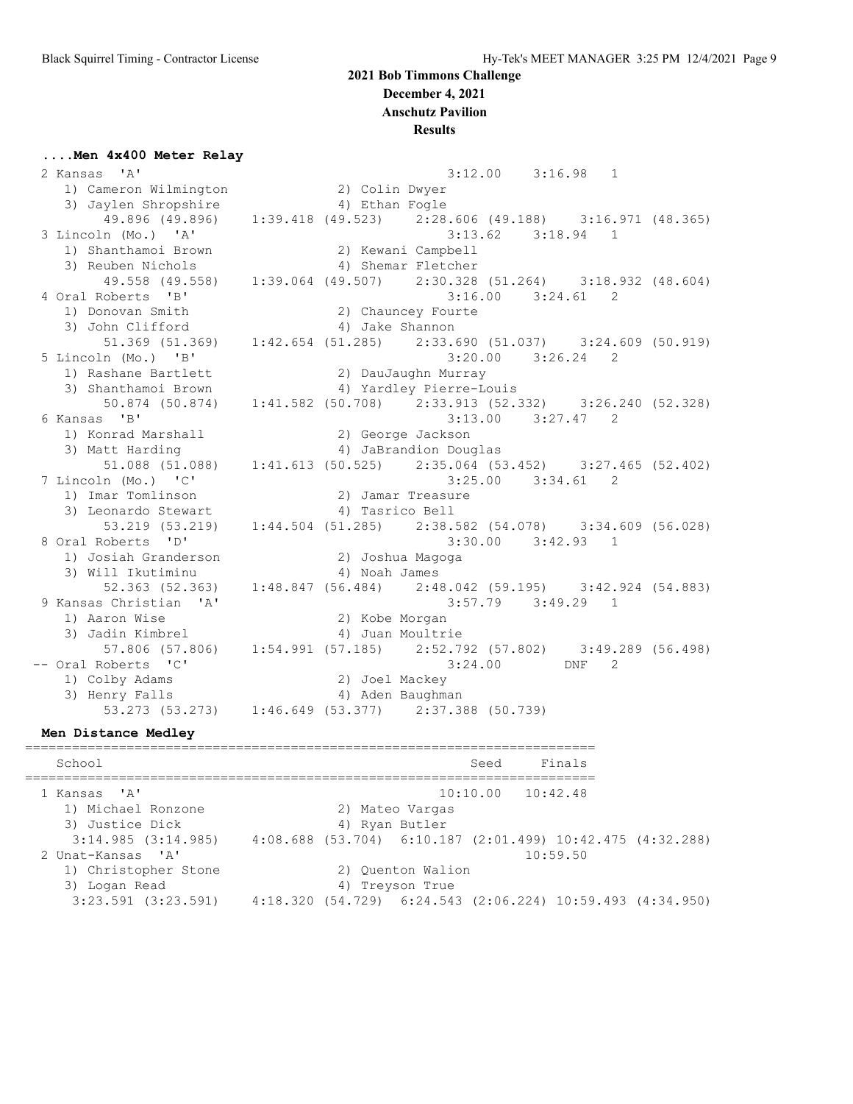**Results**

#### **....Men 4x400 Meter Relay**

 2 Kansas 'A' 3:12.00 3:16.98 1 1) Cameron Wilmington 2) Colin Dwyer 3) Jaylen Shropshire 4) Ethan Fogle 49.896 (49.896) 1:39.418 (49.523) 2:28.606 (49.188) 3:16.971 (48.365) 3 Lincoln (Mo.) 'A' 3:13.62 3:18.94 1 1) Shanthamoi Brown 2) Kewani Campbell 3) Reuben Nichols (4) Shemar Fletcher 49.558 (49.558) 1:39.064 (49.507) 2:30.328 (51.264) 3:18.932 (48.604) 4 Oral Roberts 'B' 3:16.00 3:24.61 2 1) Donovan Smith 2) Chauncey Fourte 3) John Clifford (4) Jake Shannon  $51.369$  (51.369) 1:42.654 (51.285) 2:33.690 (51.037) 3:24.609 (50.919) 5 Lincoln (Mo.) 'B' 3:20.00 3:26.24 2 1) Rashane Bartlett (2) DauJaughn Murray<br>3) Shanthamoi Brown (2) 4) Yardley Pierre-Lo 3) Shanthamoi Brown 4) Yardley Pierre-Louis 50.874 (50.874) 1:41.582 (50.708) 2:33.913 (52.332) 3:26.240 (52.328) 6 Kansas 'B' 3:13.00 3:27.47 2 1) Konrad Marshall 2) George Jackson 3) Matt Harding 4) JaBrandion Douglas 51.088 (51.088) 1:41.613 (50.525) 2:35.064 (53.452) 3:27.465 (52.402) 7 Lincoln (Mo.) 'C' 3:25.00 3:34.61 2 1) Imar Tomlinson 2) Jamar Treasure 3) Leonardo Stewart (4) Tasrico Bell 53.219 (53.219) 1:44.504 (51.285) 2:38.582 (54.078) 3:34.609 (56.028) 8 Oral Roberts 'D' 3:30.00 3:42.93 1 1) Josiah Granderson 2) Joshua Magoga 3) Will Ikutiminu 4) Noah James 52.363 (52.363) 1:48.847 (56.484) 2:48.042 (59.195) 3:42.924 (54.883) 9 Kansas Christian 'A' 3:57.79 3:49.29 1 1) Aaron Wise 20 2) Kobe Morgan 3) Jadin Kimbrel 4) Juan Moultrie 57.806 (57.806) 1:54.991 (57.185) 2:52.792 (57.802) 3:49.289 (56.498) -- Oral Roberts 'C' 3:24.00 DNF 2 1) Colby Adams 2) Joel Mackey 3) Henry Falls (4) Aden Baughman

53.273 (53.273) 1:46.649 (53.377) 2:37.388 (50.739)

#### **Men Distance Medley**

| School                  |  |                   | Seed                  | Finals   |                                                            |
|-------------------------|--|-------------------|-----------------------|----------|------------------------------------------------------------|
| 1 Kansas 'A'            |  |                   | $10:10.00$ $10:42.48$ |          |                                                            |
| 1) Michael Ronzone      |  | 2) Mateo Vargas   |                       |          |                                                            |
| 3) Justice Dick         |  | 4) Ryan Butler    |                       |          |                                                            |
| 3:14.985(3:14.985)      |  |                   |                       |          | 4:08.688 (53.704) 6:10.187 (2:01.499) 10:42.475 (4:32.288) |
| 2 Unat-Kansas 'A'       |  |                   |                       | 10:59.50 |                                                            |
| 1) Christopher Stone    |  | 2) Ouenton Walion |                       |          |                                                            |
| 3) Logan Read           |  | 4) Treyson True   |                       |          |                                                            |
| $3:23.591$ $(3:23.591)$ |  |                   |                       |          | 4:18.320 (54.729) 6:24.543 (2:06.224) 10:59.493 (4:34.950) |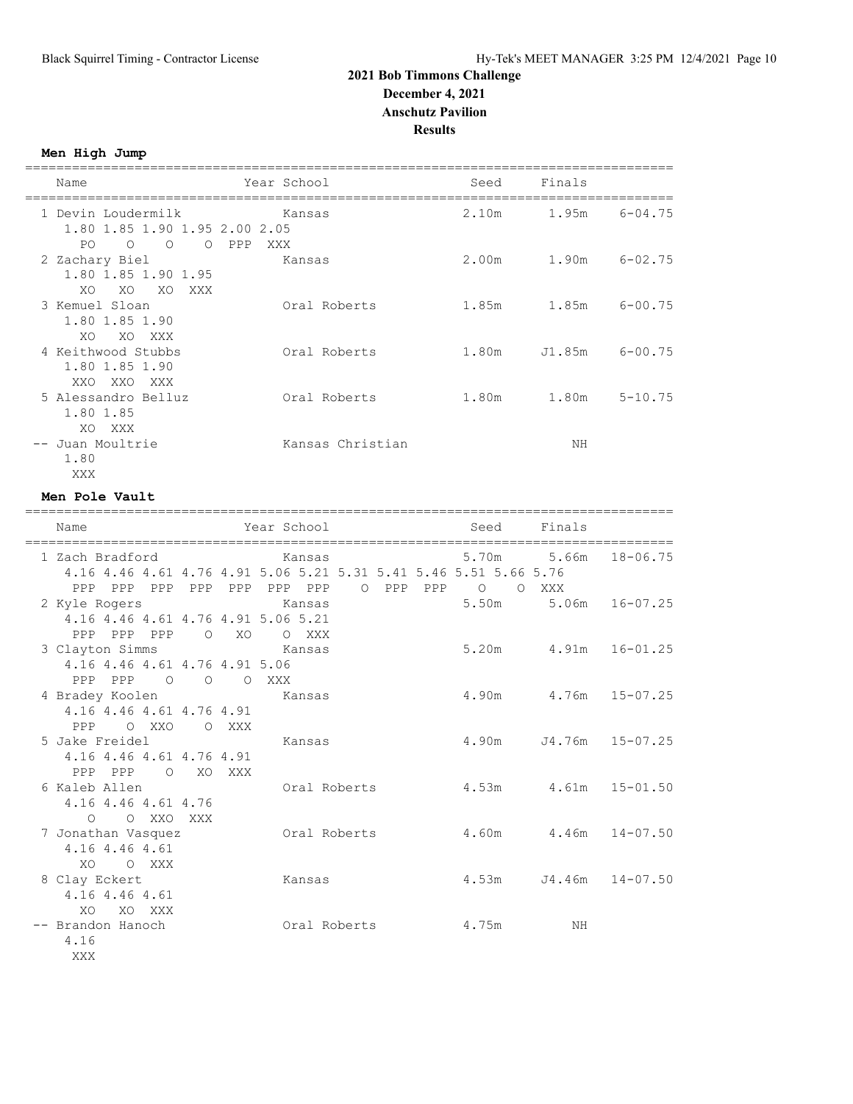===================================================================================

**Men High Jump**

| Name                                                | Year School      | Seed              | Finals |             |
|-----------------------------------------------------|------------------|-------------------|--------|-------------|
| 1 Devin Loudermilk<br>1.80 1.85 1.90 1.95 2.00 2.05 | Kansas           | 2.10m             | 1.95m  | $6 - 04.75$ |
| PO.<br>$\circ$<br>$\bigcap$                         | O PPP<br>XXX     |                   |        |             |
| 2 Zachary Biel                                      | Kansas           | 2.00 <sub>m</sub> | 1.90m  | $6 - 02.75$ |
| 1.80 1.85 1.90 1.95<br>XO<br>XO<br>XO<br>XXX        |                  |                   |        |             |
| 3 Kemuel Sloan<br>1.80 1.85 1.90                    | Oral Roberts     | 1.85m             | 1.85m  | $6 - 00.75$ |
| XO XXX<br>XO                                        |                  |                   |        |             |
| 4 Keithwood Stubbs                                  | Oral Roberts     | 1.80m             | J1.85m | $6 - 00.75$ |
| 1.80 1.85 1.90<br>XXO XXO<br>XXX X                  |                  |                   |        |             |
| 5 Alessandro Belluz                                 | Oral Roberts     | 1.80m             | 1.80m  | $5 - 10.75$ |
| 1.80 1.85<br>XXX<br>XO.                             |                  |                   |        |             |
| -- Juan Moultrie<br>1.80                            | Kansas Christian |                   | NΗ     |             |
| XXX                                                 |                  |                   |        |             |

#### **Men Pole Vault**

| Name                                                                                               |                | Year School       |                |                | Seed Finals          |                             |
|----------------------------------------------------------------------------------------------------|----------------|-------------------|----------------|----------------|----------------------|-----------------------------|
| 1 Zach Bradford<br>4.16 4.46 4.61 4.76 4.91 5.06 5.21 5.31 5.41 5.46 5.51 5.66 5.76<br>PPP PPP PPP | PPP<br>PPP     | Kansas<br>PPP PPP | $\circ$<br>PPP | PPP<br>$\circ$ | 5.70m 5.66m<br>O XXX | $18 - 06.75$                |
| 2 Kyle Rogers<br>4.16 4.46 4.61 4.76 4.91 5.06 5.21                                                |                | Kansas            |                | 5.50m          |                      | $5.06m$ $16-07.25$          |
| PPP PPP PPP<br>3 Clayton Simms<br>4.16 4.46 4.61 4.76 4.91 5.06                                    | $O$ XO         | O XXX<br>Kansas   |                |                |                      | 5.20m 4.91m 16-01.25        |
| PPP PPP<br>$\overline{O}$<br>4 Bradey Koolen<br>4.16 4.46 4.61 4.76 4.91                           | $\overline{O}$ | O XXX<br>Kansas   |                |                |                      | 4.90m 4.76m 15-07.25        |
| PPP OXXO<br>5 Jake Freidel<br>4.16 4.46 4.61 4.76 4.91                                             | O XXX          | Kansas            |                | 4.90m          |                      | J4.76m 15-07.25             |
| PPP PPP<br>6 Kaleb Allen<br>4.16 4.46 4.61 4.76                                                    | O XO XXX       |                   | Oral Roberts   |                |                      | $4.53m$ $4.61m$ $15-01.50$  |
| O O XXO XXX<br>7 Jonathan Vasquez<br>4.16 4.46 4.61                                                |                | Oral Roberts      |                |                |                      | $4.60m$ $4.46m$ $14-07.50$  |
| XO OXXX<br>8 Clay Eckert<br>4.16 4.46 4.61                                                         |                | Kansas            |                |                |                      | $4.53m$ $J4.46m$ $14-07.50$ |
| XO.<br>XO XXX<br>-- Brandon Hanoch<br>4.16                                                         |                | Oral Roberts      |                | 4.75m          | ΝH                   |                             |
| <b>XXX</b>                                                                                         |                |                   |                |                |                      |                             |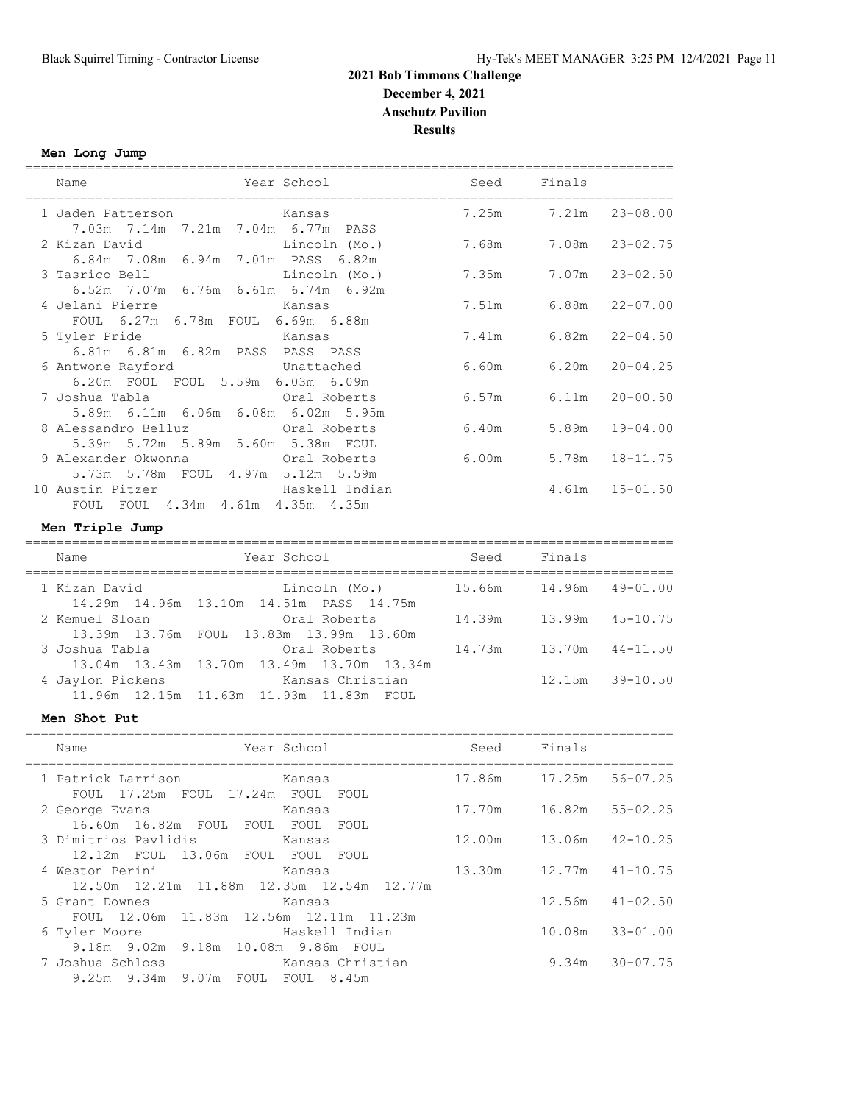# **Men Long Jump**

| Name                                                      | Year School                                                      | Seed   | Finals      |              |
|-----------------------------------------------------------|------------------------------------------------------------------|--------|-------------|--------------|
| 1 Jaden Patterson<br>7.03m 7.14m 7.21m 7.04m 6.77m PASS   | Kansas                                                           |        | 7.25m 7.21m | $23 - 08.00$ |
| 2 Kizan David<br>6.84m 7.08m 6.94m 7.01m PASS 6.82m       | Lincoln (Mo.)                                                    |        | 7.68m 7.08m | $23 - 02.75$ |
| 3 Tasrico Bell<br>6.52m 7.07m 6.76m 6.61m 6.74m 6.92m     | Lincoln (Mo.)                                                    | 7.35m  | 7.07m       | $23 - 02.50$ |
| 4 Jelani Pierre<br>FOUL 6.27m 6.78m FOUL 6.69m 6.88m      | Kansas                                                           | 7.51m  | 6.88m       | $22 - 07.00$ |
| 5 Tyler Pride<br>6.81m 6.81m 6.82m PASS PASS PASS         | Kansas                                                           | 7.41m  | 6.82m       | $22 - 04.50$ |
| 6 Antwone Rayford<br>6.20m FOUL FOUL 5.59m 6.03m 6.09m    | Unattached                                                       | 6.60m  | 6.20m       | $20 - 04.25$ |
| 7 Joshua Tabla<br>5.89m 6.11m 6.06m 6.08m 6.02m 5.95m     | Oral Roberts                                                     | 6.57m  | 6.11m       | $20 - 00.50$ |
| 8 Alessandro Belluz<br>5.39m 5.72m 5.89m 5.60m 5.38m FOUL | Oral Roberts                                                     |        | 6.40m 5.89m | $19 - 04.00$ |
| 9 Alexander Okwonna<br>5.73m 5.78m FOUL 4.97m 5.12m 5.59m | Oral Roberts                                                     |        | 6.00m 5.78m | $18 - 11.75$ |
| 10 Austin Pitzer<br>FOUL FOUL 4.34m 4.61m 4.35m 4.35m     | Haskell Indian                                                   |        | 4.61m       | $15 - 01.50$ |
| Men Triple Jump                                           |                                                                  |        |             |              |
| Name                                                      | Year School                                                      | Seed   | Finals      |              |
| 1 Kizan David                                             | Lincoln (Mo.)<br>14.29m  14.96m  13.10m  14.51m  PASS  14.75m    | 15.66m | 14.96m      | $49 - 01.00$ |
| 2 Kemuel Sloan                                            | Oral Roberts<br>13.39m 13.76m FOUL 13.83m 13.99m 13.60m          | 14.39m | 13.99m      | $45 - 10.75$ |
| 3 Joshua Tabla                                            | Oral Roberts<br>13.04m 13.43m 13.70m 13.49m 13.70m 13.34m        | 14.73m | 13.70m      | $44 - 11.50$ |
| 4 Jaylon Pickens                                          | Kansas Christian<br>11.96m  12.15m  11.63m  11.93m  11.83m  FOUL |        | 12.15m      | $39 - 10.50$ |
| Men Shot Put                                              |                                                                  |        |             |              |
| Name                                                      | Year School                                                      | Seed   | Finals      |              |

| name                                                                | rear scnooi    | seea                         | Finais |                     |
|---------------------------------------------------------------------|----------------|------------------------------|--------|---------------------|
| 1 Patrick Larrison Kansas<br>FOUL 17.25m FOUL 17.24m FOUL FOUL      |                | 17.86m 17.25m 56-07.25       |        |                     |
| 2 George Evans<br>16.60m 16.82m FOUL FOUL FOUL FOUL                 | Kansas         |                              |        |                     |
| 12.12m FOUL 13.06m FOUL FOUL FOUL                                   |                | 12.00m  13.06m  42-10.25     |        |                     |
| 4 Weston Perini Kansas<br>12.50m 12.21m 11.88m 12.35m 12.54m 12.77m |                | $13.30m$ $12.77m$ $41-10.75$ |        |                     |
| 5 Grant Downes<br>FOUL 12.06m 11.83m 12.56m 12.11m 11.23m           | Kansas         |                              |        | $12.56m$ $41-02.50$ |
| 6 Tyler Moore<br>9.18m 9.02m 9.18m 10.08m 9.86m FOUL                | Haskell Indian |                              |        | 10.08m 33-01.00     |
| 7 Joshua Schloss Christian<br>9.25m 9.34m 9.07m FOUL FOUL 8.45m     |                |                              |        | $9.34m$ $30-07.75$  |